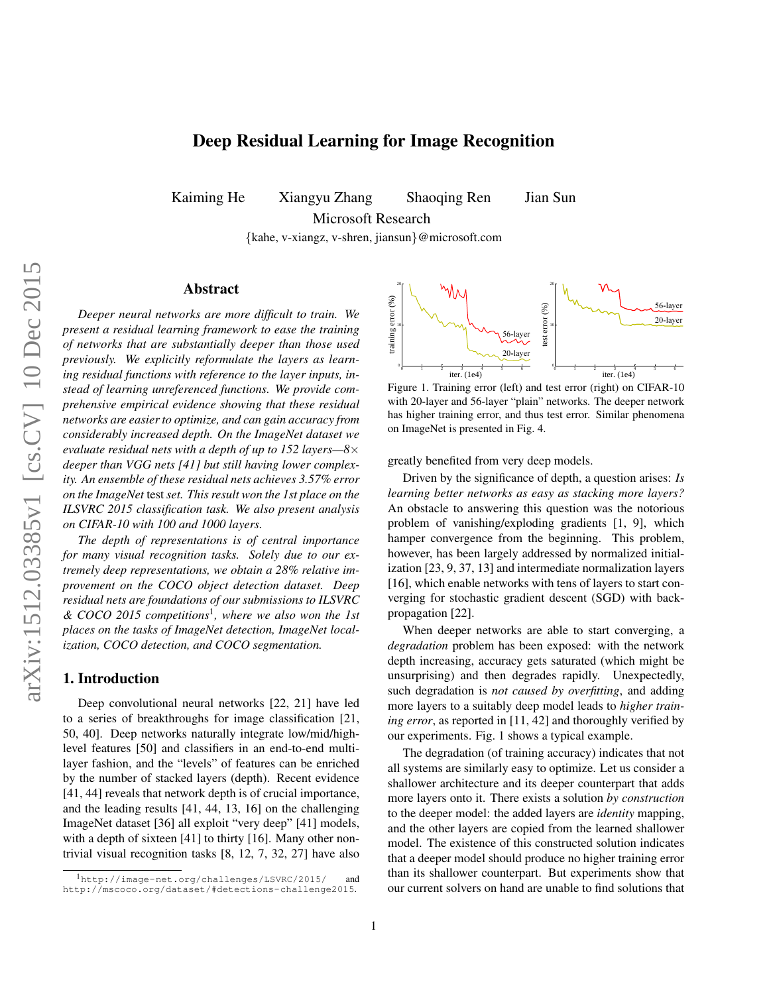# Deep Residual Learning for Image Recognition

Kaiming He Xiangyu Zhang Shaoqing Ren Jian Sun

Microsoft Research

{kahe, v-xiangz, v-shren, jiansun}@microsoft.com

## Abstract

*Deeper neural networks are more difficult to train. We present a residual learning framework to ease the training of networks that are substantially deeper than those used previously. We explicitly reformulate the layers as learning residual functions with reference to the layer inputs, instead of learning unreferenced functions. We provide comprehensive empirical evidence showing that these residual networks are easier to optimize, and can gain accuracy from considerably increased depth. On the ImageNet dataset we evaluate residual nets with a depth of up to 152 layers—8*× *deeper than VGG nets [\[41\]](#page-8-0) but still having lower complexity. An ensemble of these residual nets achieves 3.57% error on the ImageNet* test *set. This result won the 1st place on the ILSVRC 2015 classification task. We also present analysis on CIFAR-10 with 100 and 1000 layers.*

*The depth of representations is of central importance for many visual recognition tasks. Solely due to our extremely deep representations, we obtain a 28% relative improvement on the COCO object detection dataset. Deep residual nets are foundations of our submissions to ILSVRC & COCO 2015 competitions*[1](#page-0-0) *, where we also won the 1st places on the tasks of ImageNet detection, ImageNet localization, COCO detection, and COCO segmentation.*

## 1. Introduction

Deep convolutional neural networks [\[22,](#page-8-1) [21\]](#page-8-2) have led to a series of breakthroughs for image classification [\[21,](#page-8-2) [50,](#page-8-3) [40\]](#page-8-4). Deep networks naturally integrate low/mid/highlevel features [\[50\]](#page-8-3) and classifiers in an end-to-end multilayer fashion, and the "levels" of features can be enriched by the number of stacked layers (depth). Recent evidence [\[41,](#page-8-0) [44\]](#page-8-5) reveals that network depth is of crucial importance, and the leading results [\[41,](#page-8-0) [44,](#page-8-5) [13,](#page-8-6) [16\]](#page-8-7) on the challenging ImageNet dataset [\[36\]](#page-8-8) all exploit "very deep" [\[41\]](#page-8-0) models, with a depth of sixteen [\[41\]](#page-8-0) to thirty [\[16\]](#page-8-7). Many other nontrivial visual recognition tasks [\[8,](#page-8-9) [12,](#page-8-10) [7,](#page-8-11) [32,](#page-8-12) [27\]](#page-8-13) have also



<span id="page-0-1"></span>Figure 1. Training error (left) and test error (right) on CIFAR-10 with 20-layer and 56-layer "plain" networks. The deeper network has higher training error, and thus test error. Similar phenomena on ImageNet is presented in Fig. [4.](#page-4-0)

greatly benefited from very deep models.

Driven by the significance of depth, a question arises: *Is learning better networks as easy as stacking more layers?* An obstacle to answering this question was the notorious problem of vanishing/exploding gradients [\[1,](#page-8-14) [9\]](#page-8-15), which hamper convergence from the beginning. This problem, however, has been largely addressed by normalized initialization [\[23,](#page-8-16) [9,](#page-8-15) [37,](#page-8-17) [13\]](#page-8-6) and intermediate normalization layers [\[16\]](#page-8-7), which enable networks with tens of layers to start converging for stochastic gradient descent (SGD) with backpropagation [\[22\]](#page-8-1).

When deeper networks are able to start converging, a *degradation* problem has been exposed: with the network depth increasing, accuracy gets saturated (which might be unsurprising) and then degrades rapidly. Unexpectedly, such degradation is *not caused by overfitting*, and adding more layers to a suitably deep model leads to *higher training error*, as reported in [\[11,](#page-8-18) [42\]](#page-8-19) and thoroughly verified by our experiments. Fig. [1](#page-0-1) shows a typical example.

The degradation (of training accuracy) indicates that not all systems are similarly easy to optimize. Let us consider a shallower architecture and its deeper counterpart that adds more layers onto it. There exists a solution *by construction* to the deeper model: the added layers are *identity* mapping, and the other layers are copied from the learned shallower model. The existence of this constructed solution indicates that a deeper model should produce no higher training error than its shallower counterpart. But experiments show that our current solvers on hand are unable to find solutions that

<span id="page-0-0"></span><sup>1</sup><http://image-net.org/challenges/LSVRC/2015/> and <http://mscoco.org/dataset/#detections-challenge2015>.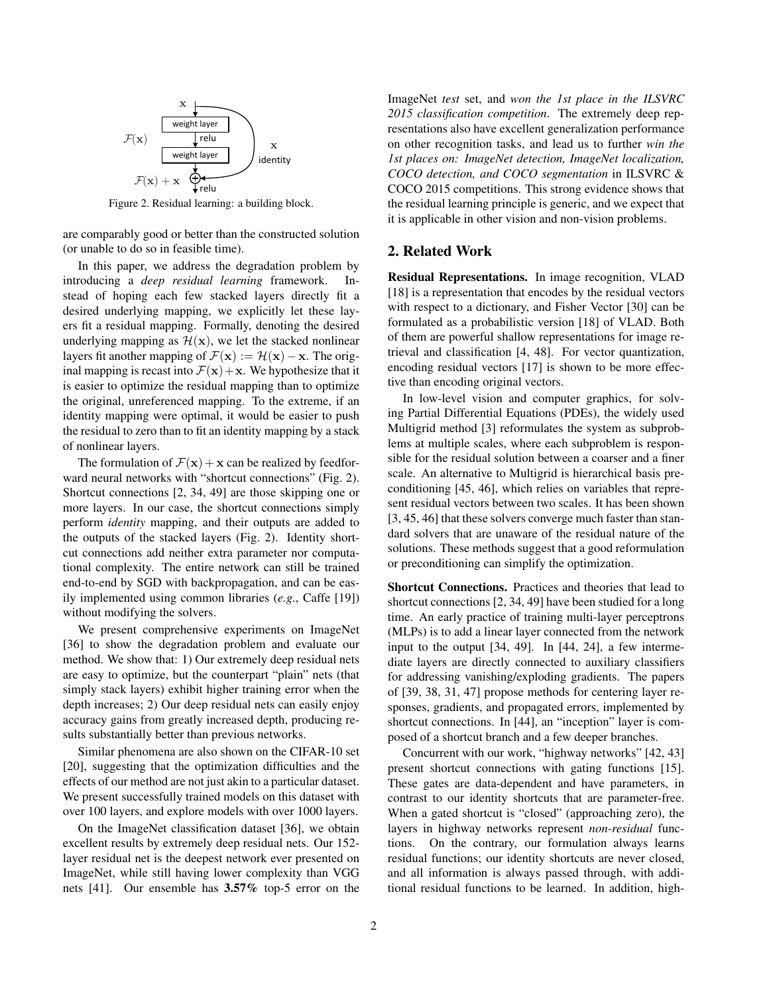

<span id="page-1-0"></span>Figure 2. Residual learning: a building block.

are comparably good or better than the constructed solution (or unable to do so in feasible time).

In this paper, we address the degradation problem by introducing a *deep residual learning* framework. Instead of hoping each few stacked layers directly fit a desired underlying mapping, we explicitly let these layers fit a residual mapping. Formally, denoting the desired underlying mapping as  $\mathcal{H}(\mathbf{x})$ , we let the stacked nonlinear layers fit another mapping of  $\mathcal{F}(\mathbf{x}) := \mathcal{H}(\mathbf{x}) - \mathbf{x}$ . The original mapping is recast into  $\mathcal{F}(x) + x$ . We hypothesize that it is easier to optimize the residual mapping than to optimize the original, unreferenced mapping. To the extreme, if an identity mapping were optimal, it would be easier to push the residual to zero than to fit an identity mapping by a stack of nonlinear layers.

The formulation of  $\mathcal{F}(\mathbf{x}) + \mathbf{x}$  can be realized by feedforward neural networks with "shortcut connections" (Fig. [2\)](#page-1-0). Shortcut connections [\[2,](#page-8-20) [34,](#page-8-21) [49\]](#page-8-22) are those skipping one or more layers. In our case, the shortcut connections simply perform *identity* mapping, and their outputs are added to the outputs of the stacked layers (Fig. [2\)](#page-1-0). Identity shortcut connections add neither extra parameter nor computational complexity. The entire network can still be trained end-to-end by SGD with backpropagation, and can be easily implemented using common libraries (*e.g*., Caffe [\[19\]](#page-8-23)) without modifying the solvers.

We present comprehensive experiments on ImageNet [\[36\]](#page-8-8) to show the degradation problem and evaluate our method. We show that: 1) Our extremely deep residual nets are easy to optimize, but the counterpart "plain" nets (that simply stack layers) exhibit higher training error when the depth increases; 2) Our deep residual nets can easily enjoy accuracy gains from greatly increased depth, producing results substantially better than previous networks.

Similar phenomena are also shown on the CIFAR-10 set [\[20\]](#page-8-24), suggesting that the optimization difficulties and the effects of our method are not just akin to a particular dataset. We present successfully trained models on this dataset with over 100 layers, and explore models with over 1000 layers.

On the ImageNet classification dataset [\[36\]](#page-8-8), we obtain excellent results by extremely deep residual nets. Our 152 layer residual net is the deepest network ever presented on ImageNet, while still having lower complexity than VGG nets [\[41\]](#page-8-0). Our ensemble has 3.57% top-5 error on the ImageNet *test* set, and *won the 1st place in the ILSVRC 2015 classification competition*. The extremely deep representations also have excellent generalization performance on other recognition tasks, and lead us to further *win the 1st places on: ImageNet detection, ImageNet localization, COCO detection, and COCO segmentation* in ILSVRC & COCO 2015 competitions. This strong evidence shows that the residual learning principle is generic, and we expect that it is applicable in other vision and non-vision problems.

## 2. Related Work

Residual Representations. In image recognition, VLAD [\[18\]](#page-8-25) is a representation that encodes by the residual vectors with respect to a dictionary, and Fisher Vector [\[30\]](#page-8-26) can be formulated as a probabilistic version [\[18\]](#page-8-25) of VLAD. Both of them are powerful shallow representations for image retrieval and classification [\[4,](#page-8-27) [48\]](#page-8-28). For vector quantization, encoding residual vectors [\[17\]](#page-8-29) is shown to be more effective than encoding original vectors.

In low-level vision and computer graphics, for solving Partial Differential Equations (PDEs), the widely used Multigrid method [\[3\]](#page-8-30) reformulates the system as subproblems at multiple scales, where each subproblem is responsible for the residual solution between a coarser and a finer scale. An alternative to Multigrid is hierarchical basis preconditioning [\[45,](#page-8-31) [46\]](#page-8-32), which relies on variables that represent residual vectors between two scales. It has been shown [\[3,](#page-8-30) [45,](#page-8-31) [46\]](#page-8-32) that these solvers converge much faster than standard solvers that are unaware of the residual nature of the solutions. These methods suggest that a good reformulation or preconditioning can simplify the optimization.

Shortcut Connections. Practices and theories that lead to shortcut connections [\[2,](#page-8-20) [34,](#page-8-21) [49\]](#page-8-22) have been studied for a long time. An early practice of training multi-layer perceptrons (MLPs) is to add a linear layer connected from the network input to the output [\[34,](#page-8-21) [49\]](#page-8-22). In [\[44,](#page-8-5) [24\]](#page-8-33), a few intermediate layers are directly connected to auxiliary classifiers for addressing vanishing/exploding gradients. The papers of [\[39,](#page-8-34) [38,](#page-8-35) [31,](#page-8-36) [47\]](#page-8-37) propose methods for centering layer responses, gradients, and propagated errors, implemented by shortcut connections. In [\[44\]](#page-8-5), an "inception" layer is composed of a shortcut branch and a few deeper branches.

Concurrent with our work, "highway networks" [\[42,](#page-8-19) [43\]](#page-8-38) present shortcut connections with gating functions [\[15\]](#page-8-39). These gates are data-dependent and have parameters, in contrast to our identity shortcuts that are parameter-free. When a gated shortcut is "closed" (approaching zero), the layers in highway networks represent *non-residual* functions. On the contrary, our formulation always learns residual functions; our identity shortcuts are never closed, and all information is always passed through, with additional residual functions to be learned. In addition, high-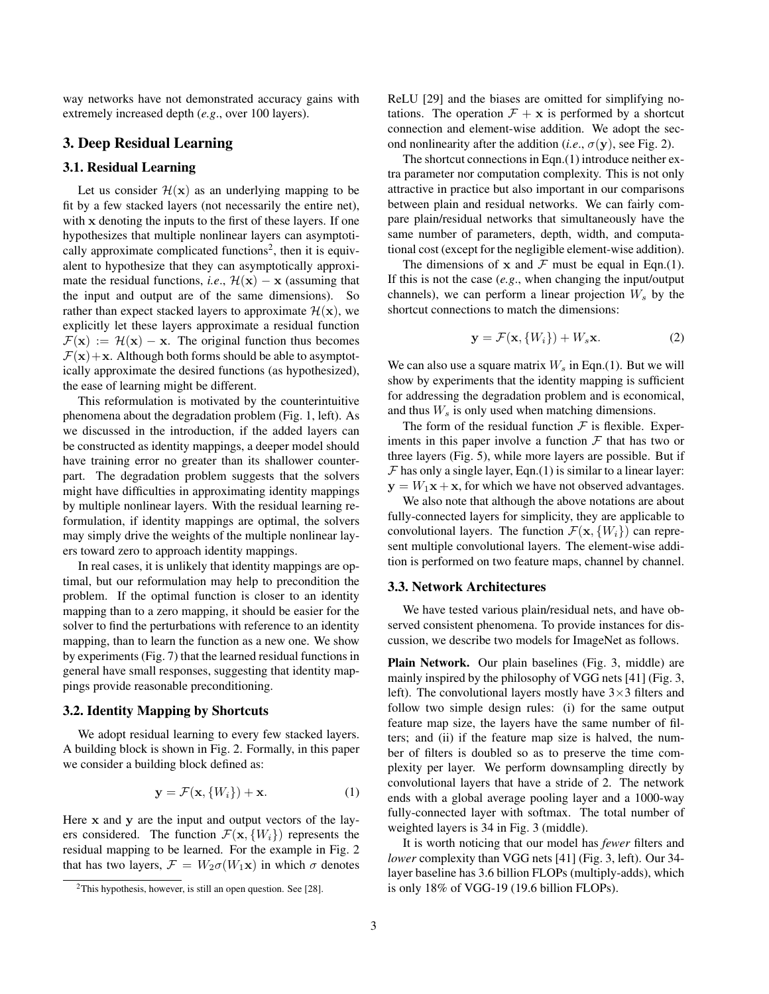way networks have not demonstrated accuracy gains with extremely increased depth (*e.g*., over 100 layers).

## 3. Deep Residual Learning

### <span id="page-2-3"></span>3.1. Residual Learning

Let us consider  $\mathcal{H}(x)$  as an underlying mapping to be fit by a few stacked layers (not necessarily the entire net), with x denoting the inputs to the first of these layers. If one hypothesizes that multiple nonlinear layers can asymptoti-cally approximate complicated functions<sup>[2](#page-2-0)</sup>, then it is equivalent to hypothesize that they can asymptotically approximate the residual functions, *i.e.*,  $\mathcal{H}(\mathbf{x}) - \mathbf{x}$  (assuming that the input and output are of the same dimensions). So rather than expect stacked layers to approximate  $\mathcal{H}(\mathbf{x})$ , we explicitly let these layers approximate a residual function  $\mathcal{F}(\mathbf{x}) := \mathcal{H}(\mathbf{x}) - \mathbf{x}$ . The original function thus becomes  $\mathcal{F}(\mathbf{x})+\mathbf{x}$ . Although both forms should be able to asymptotically approximate the desired functions (as hypothesized), the ease of learning might be different.

This reformulation is motivated by the counterintuitive phenomena about the degradation problem (Fig. [1,](#page-0-1) left). As we discussed in the introduction, if the added layers can be constructed as identity mappings, a deeper model should have training error no greater than its shallower counterpart. The degradation problem suggests that the solvers might have difficulties in approximating identity mappings by multiple nonlinear layers. With the residual learning reformulation, if identity mappings are optimal, the solvers may simply drive the weights of the multiple nonlinear layers toward zero to approach identity mappings.

In real cases, it is unlikely that identity mappings are optimal, but our reformulation may help to precondition the problem. If the optimal function is closer to an identity mapping than to a zero mapping, it should be easier for the solver to find the perturbations with reference to an identity mapping, than to learn the function as a new one. We show by experiments (Fig. [7\)](#page-7-0) that the learned residual functions in general have small responses, suggesting that identity mappings provide reasonable preconditioning.

#### 3.2. Identity Mapping by Shortcuts

We adopt residual learning to every few stacked layers. A building block is shown in Fig. [2.](#page-1-0) Formally, in this paper we consider a building block defined as:

<span id="page-2-1"></span>
$$
\mathbf{y} = \mathcal{F}(\mathbf{x}, \{W_i\}) + \mathbf{x}.\tag{1}
$$

Here x and y are the input and output vectors of the layers considered. The function  $\mathcal{F}(\mathbf{x}, \{W_i\})$  represents the residual mapping to be learned. For the example in Fig. [2](#page-1-0) that has two layers,  $\mathcal{F} = W_2 \sigma(W_1 \mathbf{x})$  in which  $\sigma$  denotes

ReLU [\[29\]](#page-8-41) and the biases are omitted for simplifying notations. The operation  $\mathcal{F} + \mathbf{x}$  is performed by a shortcut connection and element-wise addition. We adopt the second nonlinearity after the addition (*i.e.*,  $\sigma$ (**y**), see Fig. [2\)](#page-1-0).

The shortcut connections in Eqn.[\(1\)](#page-2-1) introduce neither extra parameter nor computation complexity. This is not only attractive in practice but also important in our comparisons between plain and residual networks. We can fairly compare plain/residual networks that simultaneously have the same number of parameters, depth, width, and computational cost (except for the negligible element-wise addition).

The dimensions of  $x$  and  $\mathcal F$  must be equal in Eqn.[\(1\)](#page-2-1). If this is not the case (*e.g*., when changing the input/output channels), we can perform a linear projection  $W_s$  by the shortcut connections to match the dimensions:

<span id="page-2-2"></span>
$$
\mathbf{y} = \mathcal{F}(\mathbf{x}, \{W_i\}) + W_s \mathbf{x}.\tag{2}
$$

We can also use a square matrix  $W_s$  in Eqn.[\(1\)](#page-2-1). But we will show by experiments that the identity mapping is sufficient for addressing the degradation problem and is economical, and thus  $W_s$  is only used when matching dimensions.

The form of the residual function  $\mathcal F$  is flexible. Experiments in this paper involve a function  $\mathcal F$  that has two or three layers (Fig. [5\)](#page-5-0), while more layers are possible. But if  $F$  has only a single layer, Eqn.[\(1\)](#page-2-1) is similar to a linear layer:  $y = W_1x + x$ , for which we have not observed advantages.

We also note that although the above notations are about fully-connected layers for simplicity, they are applicable to convolutional layers. The function  $\mathcal{F}(\mathbf{x}, \{W_i\})$  can represent multiple convolutional layers. The element-wise addition is performed on two feature maps, channel by channel.

#### 3.3. Network Architectures

We have tested various plain/residual nets, and have observed consistent phenomena. To provide instances for discussion, we describe two models for ImageNet as follows.

Plain Network. Our plain baselines (Fig. [3,](#page-3-0) middle) are mainly inspired by the philosophy of VGG nets [\[41\]](#page-8-0) (Fig. [3,](#page-3-0) left). The convolutional layers mostly have  $3\times3$  filters and follow two simple design rules: (i) for the same output feature map size, the layers have the same number of filters; and (ii) if the feature map size is halved, the number of filters is doubled so as to preserve the time complexity per layer. We perform downsampling directly by convolutional layers that have a stride of 2. The network ends with a global average pooling layer and a 1000-way fully-connected layer with softmax. The total number of weighted layers is 34 in Fig. [3](#page-3-0) (middle).

It is worth noticing that our model has *fewer* filters and *lower* complexity than VGG nets [\[41\]](#page-8-0) (Fig. [3,](#page-3-0) left). Our 34 layer baseline has 3.6 billion FLOPs (multiply-adds), which is only 18% of VGG-19 (19.6 billion FLOPs).

<span id="page-2-0"></span> $2$ This hypothesis, however, is still an open question. See [\[28\]](#page-8-40).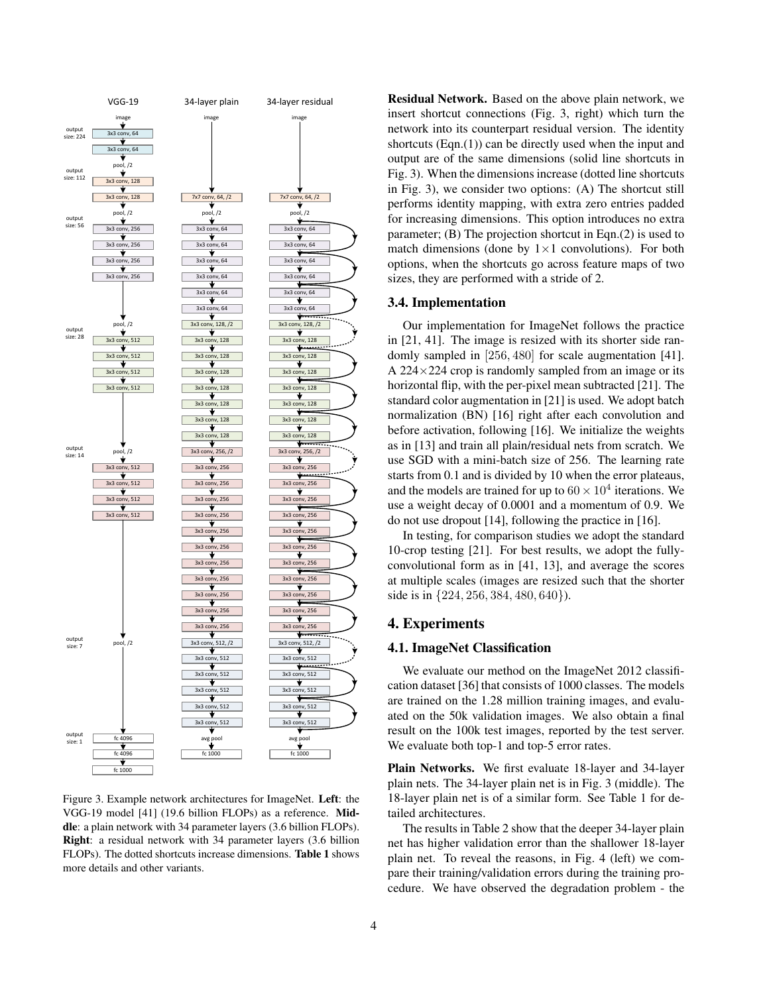

<span id="page-3-0"></span>Figure 3. Example network architectures for ImageNet. Left: the VGG-19 model [\[41\]](#page-8-0) (19.6 billion FLOPs) as a reference. Middle: a plain network with 34 parameter layers (3.6 billion FLOPs). Right: a residual network with 34 parameter layers (3.6 billion FLOPs). The dotted shortcuts increase dimensions. Table [1](#page-4-1) shows more details and other variants.

Residual Network. Based on the above plain network, we insert shortcut connections (Fig. [3,](#page-3-0) right) which turn the network into its counterpart residual version. The identity shortcuts  $(Eqn.(1))$  $(Eqn.(1))$  $(Eqn.(1))$  can be directly used when the input and output are of the same dimensions (solid line shortcuts in Fig. [3\)](#page-3-0). When the dimensions increase (dotted line shortcuts in Fig. [3\)](#page-3-0), we consider two options: (A) The shortcut still performs identity mapping, with extra zero entries padded for increasing dimensions. This option introduces no extra parameter; (B) The projection shortcut in Eqn.[\(2\)](#page-2-2) is used to match dimensions (done by  $1 \times 1$  convolutions). For both options, when the shortcuts go across feature maps of two sizes, they are performed with a stride of 2.

#### <span id="page-3-1"></span>3.4. Implementation

Our implementation for ImageNet follows the practice in [\[21,](#page-8-2) [41\]](#page-8-0). The image is resized with its shorter side randomly sampled in [256, 480] for scale augmentation [\[41\]](#page-8-0). A  $224 \times 224$  crop is randomly sampled from an image or its horizontal flip, with the per-pixel mean subtracted [\[21\]](#page-8-2). The standard color augmentation in [\[21\]](#page-8-2) is used. We adopt batch normalization (BN) [\[16\]](#page-8-7) right after each convolution and before activation, following [\[16\]](#page-8-7). We initialize the weights as in [\[13\]](#page-8-6) and train all plain/residual nets from scratch. We use SGD with a mini-batch size of 256. The learning rate starts from 0.1 and is divided by 10 when the error plateaus, and the models are trained for up to  $60 \times 10^4$  iterations. We use a weight decay of 0.0001 and a momentum of 0.9. We do not use dropout [\[14\]](#page-8-42), following the practice in [\[16\]](#page-8-7).

In testing, for comparison studies we adopt the standard 10-crop testing [\[21\]](#page-8-2). For best results, we adopt the fullyconvolutional form as in [\[41,](#page-8-0) [13\]](#page-8-6), and average the scores at multiple scales (images are resized such that the shorter side is in {224, 256, 384, 480, 640}).

## 4. Experiments

#### 4.1. ImageNet Classification

We evaluate our method on the ImageNet 2012 classification dataset [\[36\]](#page-8-8) that consists of 1000 classes. The models are trained on the 1.28 million training images, and evaluated on the 50k validation images. We also obtain a final result on the 100k test images, reported by the test server. We evaluate both top-1 and top-5 error rates.

Plain Networks. We first evaluate 18-layer and 34-layer plain nets. The 34-layer plain net is in Fig. [3](#page-3-0) (middle). The 18-layer plain net is of a similar form. See Table [1](#page-4-1) for detailed architectures.

The results in Table [2](#page-4-2) show that the deeper 34-layer plain net has higher validation error than the shallower 18-layer plain net. To reveal the reasons, in Fig. [4](#page-4-0) (left) we compare their training/validation errors during the training procedure. We have observed the degradation problem - the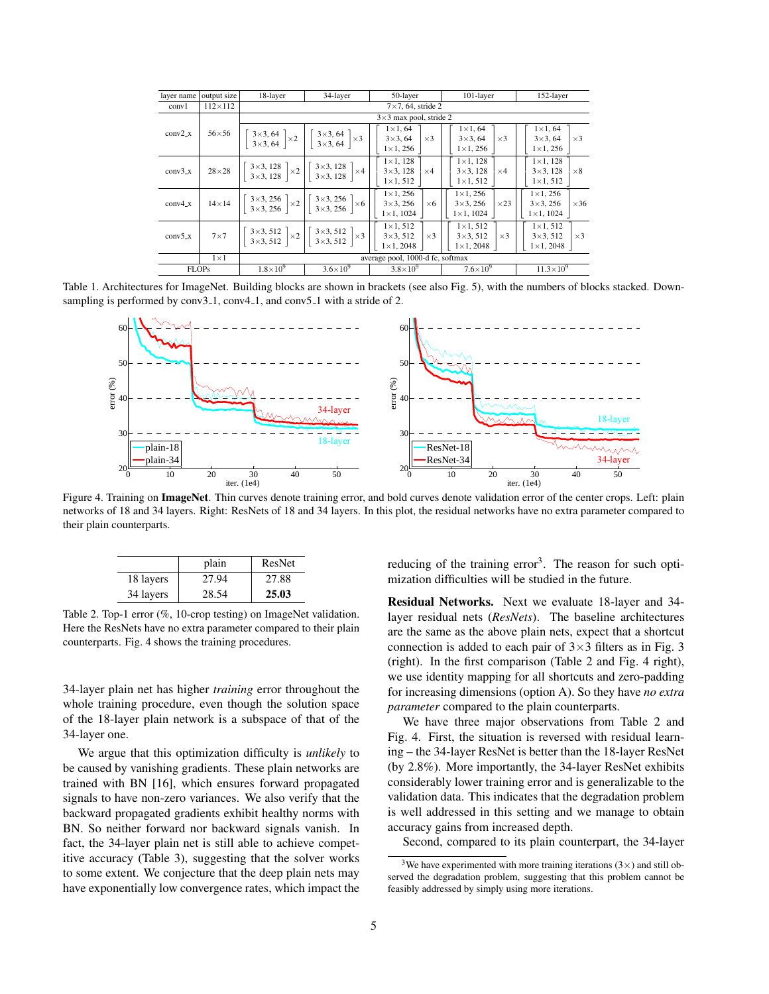| layer name | output size    | 18-layer            | 34-layer                                                                                                                                                                                                                   | 50-layer                                                                          | 101-layer                                                                | 152-layer                                                                |  |  |  |  |  |  |  |  |
|------------|----------------|---------------------|----------------------------------------------------------------------------------------------------------------------------------------------------------------------------------------------------------------------------|-----------------------------------------------------------------------------------|--------------------------------------------------------------------------|--------------------------------------------------------------------------|--|--|--|--|--|--|--|--|
| conv1      | $112\times112$ |                     |                                                                                                                                                                                                                            |                                                                                   |                                                                          |                                                                          |  |  |  |  |  |  |  |  |
|            |                |                     | $3\times3$ max pool, stride 2                                                                                                                                                                                              |                                                                                   |                                                                          |                                                                          |  |  |  |  |  |  |  |  |
| $conv2_x$  |                |                     | $\begin{bmatrix} 56 \times 56 \\ 3 \times 3, 64 \\ 3 \times 3, 64 \end{bmatrix} \times 2 \begin{bmatrix} 3 \times 3, 64 \\ 3 \times 3, 64 \\ 3 \times 3, 64 \end{bmatrix} \times 3$                                        | $1 \times 1, 64$<br>$3\times3, 64$<br>$\vert \times 3 \vert$<br>$1 \times 1, 256$ | $1 \times 1, 64$<br>$\times$ 3<br>$3\times 3, 64$<br>$1 \times 1, 256$   | $1 \times 1, 64$<br>$\times$ 3<br>$3\times3, 64$<br>$1 \times 1, 256$    |  |  |  |  |  |  |  |  |
| $conv3_x$  |                |                     | $28\times28$ $\begin{bmatrix} 3\times3, 128 \\ 3\times3, 128 \end{bmatrix} \times 2 \begin{bmatrix} 3\times3, 128 \\ 3\times3, 128 \end{bmatrix} \times 4$                                                                 | $1 \times 1, 128$<br>$3\times3, 128$<br>$\times$ 4<br>$1 \times 1, 512$           | $1 \times 1$ , 128<br>$3\times3.128$<br>$\times$ 4<br>$1 \times 1, 512$  | $1 \times 1$ , 128<br>$3\times3, 128$<br>$\times 8$<br>$1 \times 1, 512$ |  |  |  |  |  |  |  |  |
| $conv4_x$  |                |                     | $14\times14$ $\begin{vmatrix} 3\times3,256 \\ 3\times3,256 \end{vmatrix} \times 2 \begin{vmatrix} 3\times3,256 \\ 3\times3,256 \end{vmatrix} \times 6 \begin{vmatrix} 1\times1,250 \\ 3\times3,256 \end{vmatrix}$          | $1 \times 1, 256$<br>$\times 6$<br>$1 \times 1, 1024$                             | $1 \times 1, 256$<br>$\times$ 23<br>$3\times3.256$<br>$1 \times 1, 1024$ | $1 \times 1.256$<br>$3\times3, 256$<br>$\times 36$<br>$1 \times 1, 1024$ |  |  |  |  |  |  |  |  |
| $conv5_x$  |                |                     | 7×7 $\begin{bmatrix} 3 \times 3, 512 \\ 3 \times 3, 512 \end{bmatrix} \times 2 \begin{bmatrix} 3 \times 3, 512 \\ 3 \times 3, 512 \end{bmatrix} \times 3 \begin{bmatrix} 1 \times 1, 312 \\ 3 \times 3, 512 \end{bmatrix}$ | $1 \times 1, 512$<br>$\times$ 3<br>$1 \times 1, 2048$                             | $1 \times 1, 512$<br>$\times$ 3<br>$3\times3.512$<br>$1 \times 1, 2048$  | $1 \times 1, 512$<br>$3\times3, 512$<br>$\times$ 3<br>$1 \times 1, 2048$ |  |  |  |  |  |  |  |  |
|            | $1\times1$     |                     |                                                                                                                                                                                                                            | average pool, 1000-d fc, softmax                                                  |                                                                          |                                                                          |  |  |  |  |  |  |  |  |
|            | <b>FLOPs</b>   | $1.8 \times 10^{9}$ | $3.6 \times 10^{9}$                                                                                                                                                                                                        | $3.8\times10^{9}$                                                                 | $7.6\times10^{9}$                                                        | $11.3 \times 10^{9}$                                                     |  |  |  |  |  |  |  |  |

Table 1. Architectures for ImageNet. Building blocks are shown in brackets (see also Fig. [5\)](#page-5-0), with the numbers of blocks stacked. Downsampling is performed by conv3<sub>-1</sub>, conv4<sub>-1</sub>, and conv5<sub>-1</sub> with a stride of 2.

<span id="page-4-1"></span>

<span id="page-4-0"></span>Figure 4. Training on ImageNet. Thin curves denote training error, and bold curves denote validation error of the center crops. Left: plain networks of 18 and 34 layers. Right: ResNets of 18 and 34 layers. In this plot, the residual networks have no extra parameter compared to their plain counterparts.

|           | plain | ResNet |
|-----------|-------|--------|
| 18 layers | 27.94 | 27.88  |
| 34 layers | 28.54 | 25.03  |

<span id="page-4-2"></span>Table 2. Top-1 error (%, 10-crop testing) on ImageNet validation. Here the ResNets have no extra parameter compared to their plain counterparts. Fig. [4](#page-4-0) shows the training procedures.

34-layer plain net has higher *training* error throughout the whole training procedure, even though the solution space of the 18-layer plain network is a subspace of that of the 34-layer one.

We argue that this optimization difficulty is *unlikely* to be caused by vanishing gradients. These plain networks are trained with BN [\[16\]](#page-8-7), which ensures forward propagated signals to have non-zero variances. We also verify that the backward propagated gradients exhibit healthy norms with BN. So neither forward nor backward signals vanish. In fact, the 34-layer plain net is still able to achieve competitive accuracy (Table [3\)](#page-5-1), suggesting that the solver works to some extent. We conjecture that the deep plain nets may have exponentially low convergence rates, which impact the

reducing of the training error<sup>[3](#page-4-3)</sup>. The reason for such optimization difficulties will be studied in the future.

Residual Networks. Next we evaluate 18-layer and 34 layer residual nets (*ResNets*). The baseline architectures are the same as the above plain nets, expect that a shortcut connection is added to each pair of  $3\times3$  $3\times3$  filters as in Fig. 3 (right). In the first comparison (Table [2](#page-4-2) and Fig. [4](#page-4-0) right), we use identity mapping for all shortcuts and zero-padding for increasing dimensions (option A). So they have *no extra parameter* compared to the plain counterparts.

We have three major observations from Table [2](#page-4-2) and Fig. [4.](#page-4-0) First, the situation is reversed with residual learning – the 34-layer ResNet is better than the 18-layer ResNet (by 2.8%). More importantly, the 34-layer ResNet exhibits considerably lower training error and is generalizable to the validation data. This indicates that the degradation problem is well addressed in this setting and we manage to obtain accuracy gains from increased depth.

Second, compared to its plain counterpart, the 34-layer

<span id="page-4-3"></span><sup>&</sup>lt;sup>3</sup>We have experimented with more training iterations ( $3\times$ ) and still observed the degradation problem, suggesting that this problem cannot be feasibly addressed by simply using more iterations.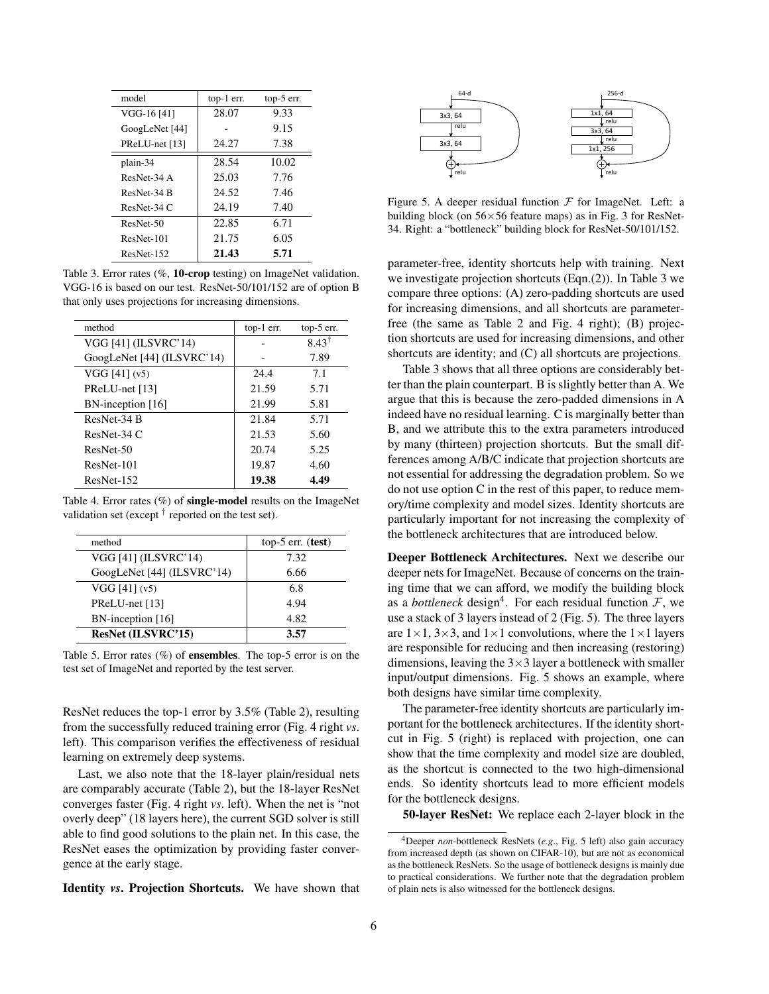| model          | $top-1$ err. | top-5 err. |
|----------------|--------------|------------|
| VGG-16 [41]    | 28.07        | 9.33       |
| GoogLeNet [44] |              | 9.15       |
| PReLU-net [13] | 24.27        | 7.38       |
| plain-34       | 28.54        | 10.02      |
| ResNet-34 A    | 25.03        | 7.76       |
| ResNet-34 B    | 24.52        | 7.46       |
| $ResNet-34 C$  | 24.19        | 7.40       |
| ResNet-50      | 22.85        | 6.71       |
| ResNet-101     | 21.75        | 6.05       |
| ResNet-152     | 21.43        | 5.71       |

<span id="page-5-1"></span>Table 3. Error rates (%, 10-crop testing) on ImageNet validation. VGG-16 is based on our test. ResNet-50/101/152 are of option B that only uses projections for increasing dimensions.

| method                            | top-1 err. | $top-5$ err.     |
|-----------------------------------|------------|------------------|
| VGG [41] (ILSVRC'14)              |            | $8.43^{\dagger}$ |
| GoogLeNet [44] (ILSVRC'14)        |            | 7.89             |
| $VGG$ [41] $(v5)$                 | 24.4       | 7.1              |
| PReLU-net [13]                    | 21.59      | 5.71             |
| $BN\text{-}\text{inception}$ [16] | 21.99      | 5.81             |
| ResNet-34 B                       | 21.84      | 5.71             |
| $ResNet-34 C$                     | 21.53      | 5.60             |
| ResNet-50                         | 20.74      | 5.25             |
| ResNet-101                        | 19.87      | 4.60             |
| ResNet-152                        | 19.38      | 4.49             |

<span id="page-5-3"></span>Table 4. Error rates  $(\%)$  of **single-model** results on the ImageNet validation set (except  $^{\dagger}$  reported on the test set).

| method                     | top-5 $err.$ (test) |
|----------------------------|---------------------|
| VGG [41] (ILSVRC'14)       | 7.32                |
| GoogLeNet [44] (ILSVRC'14) | 6.66                |
| $VGG$ [41] $(v5)$          | 6.8                 |
| PReLU-net [13]             | 4.94                |
| BN-inception [16]          | 4.82                |
| ResNet (ILSVRC'15)         | 3.57                |

<span id="page-5-4"></span>Table 5. Error rates  $(\%)$  of **ensembles**. The top-5 error is on the test set of ImageNet and reported by the test server.

ResNet reduces the top-1 error by 3.5% (Table [2\)](#page-4-2), resulting from the successfully reduced training error (Fig. [4](#page-4-0) right *vs*. left). This comparison verifies the effectiveness of residual learning on extremely deep systems.

Last, we also note that the 18-layer plain/residual nets are comparably accurate (Table [2\)](#page-4-2), but the 18-layer ResNet converges faster (Fig. [4](#page-4-0) right *vs*. left). When the net is "not overly deep" (18 layers here), the current SGD solver is still able to find good solutions to the plain net. In this case, the ResNet eases the optimization by providing faster convergence at the early stage.

Identity *vs*. Projection Shortcuts. We have shown that



<span id="page-5-0"></span>Figure 5. A deeper residual function  $\mathcal F$  for ImageNet. Left: a building block (on  $56 \times 56$  feature maps) as in Fig. [3](#page-3-0) for ResNet-34. Right: a "bottleneck" building block for ResNet-50/101/152.

parameter-free, identity shortcuts help with training. Next we investigate projection shortcuts (Eqn.[\(2\)](#page-2-2)). In Table [3](#page-5-1) we compare three options: (A) zero-padding shortcuts are used for increasing dimensions, and all shortcuts are parameterfree (the same as Table [2](#page-4-2) and Fig. [4](#page-4-0) right); (B) projection shortcuts are used for increasing dimensions, and other shortcuts are identity; and (C) all shortcuts are projections.

Table [3](#page-5-1) shows that all three options are considerably better than the plain counterpart. B is slightly better than A. We argue that this is because the zero-padded dimensions in A indeed have no residual learning. C is marginally better than B, and we attribute this to the extra parameters introduced by many (thirteen) projection shortcuts. But the small differences among A/B/C indicate that projection shortcuts are not essential for addressing the degradation problem. So we do not use option C in the rest of this paper, to reduce memory/time complexity and model sizes. Identity shortcuts are particularly important for not increasing the complexity of the bottleneck architectures that are introduced below.

Deeper Bottleneck Architectures. Next we describe our deeper nets for ImageNet. Because of concerns on the training time that we can afford, we modify the building block as a *bottleneck* design<sup>[4](#page-5-2)</sup>. For each residual function  $\mathcal{F}$ , we use a stack of 3 layers instead of 2 (Fig. [5\)](#page-5-0). The three layers are  $1 \times 1$ ,  $3 \times 3$ , and  $1 \times 1$  convolutions, where the  $1 \times 1$  layers are responsible for reducing and then increasing (restoring) dimensions, leaving the  $3\times 3$  layer a bottleneck with smaller input/output dimensions. Fig. [5](#page-5-0) shows an example, where both designs have similar time complexity.

The parameter-free identity shortcuts are particularly important for the bottleneck architectures. If the identity shortcut in Fig. [5](#page-5-0) (right) is replaced with projection, one can show that the time complexity and model size are doubled, as the shortcut is connected to the two high-dimensional ends. So identity shortcuts lead to more efficient models for the bottleneck designs.

50-layer ResNet: We replace each 2-layer block in the

<span id="page-5-2"></span><sup>4</sup>Deeper *non*-bottleneck ResNets (*e.g*., Fig. [5](#page-5-0) left) also gain accuracy from increased depth (as shown on CIFAR-10), but are not as economical as the bottleneck ResNets. So the usage of bottleneck designs is mainly due to practical considerations. We further note that the degradation problem of plain nets is also witnessed for the bottleneck designs.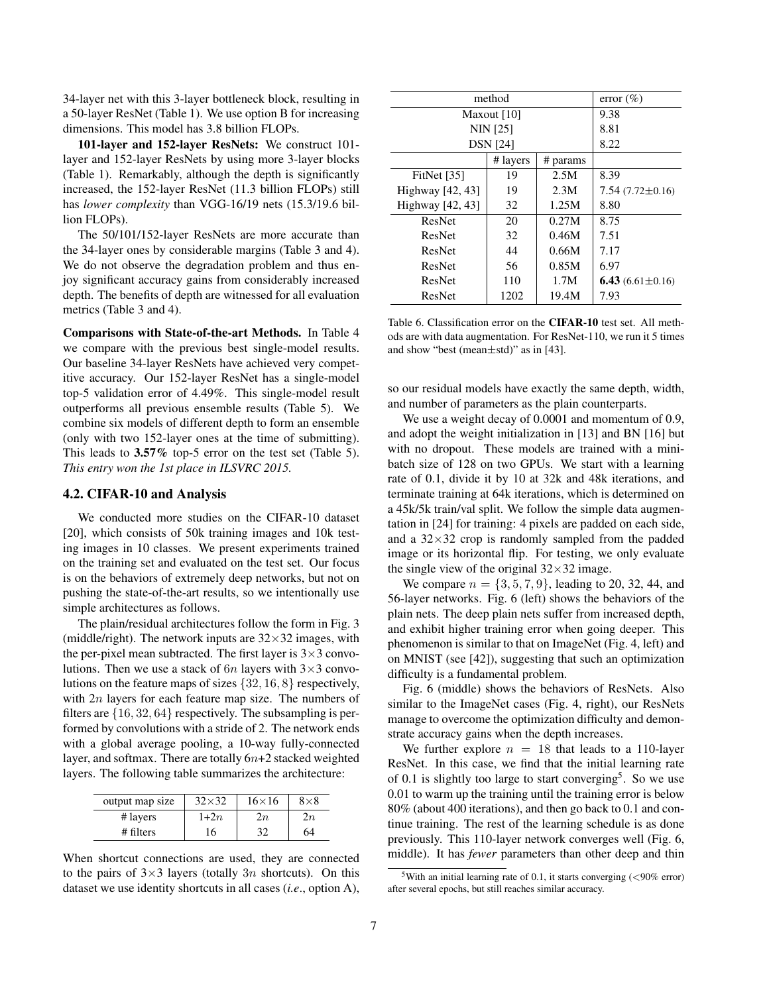34-layer net with this 3-layer bottleneck block, resulting in a 50-layer ResNet (Table [1\)](#page-4-1). We use option B for increasing dimensions. This model has 3.8 billion FLOPs.

101-layer and 152-layer ResNets: We construct 101 layer and 152-layer ResNets by using more 3-layer blocks (Table [1\)](#page-4-1). Remarkably, although the depth is significantly increased, the 152-layer ResNet (11.3 billion FLOPs) still has *lower complexity* than VGG-16/19 nets (15.3/19.6 billion FLOPs).

The 50/101/152-layer ResNets are more accurate than the 34-layer ones by considerable margins (Table [3](#page-5-1) and [4\)](#page-5-3). We do not observe the degradation problem and thus enjoy significant accuracy gains from considerably increased depth. The benefits of depth are witnessed for all evaluation metrics (Table [3](#page-5-1) and [4\)](#page-5-3).

Comparisons with State-of-the-art Methods. In Table [4](#page-5-3) we compare with the previous best single-model results. Our baseline 34-layer ResNets have achieved very competitive accuracy. Our 152-layer ResNet has a single-model top-5 validation error of 4.49%. This single-model result outperforms all previous ensemble results (Table [5\)](#page-5-4). We combine six models of different depth to form an ensemble (only with two 152-layer ones at the time of submitting). This leads to 3.57% top-5 error on the test set (Table [5\)](#page-5-4). *This entry won the 1st place in ILSVRC 2015.*

### 4.2. CIFAR-10 and Analysis

We conducted more studies on the CIFAR-10 dataset [\[20\]](#page-8-24), which consists of 50k training images and 10k testing images in 10 classes. We present experiments trained on the training set and evaluated on the test set. Our focus is on the behaviors of extremely deep networks, but not on pushing the state-of-the-art results, so we intentionally use simple architectures as follows.

The plain/residual architectures follow the form in Fig. [3](#page-3-0) (middle/right). The network inputs are  $32\times32$  images, with the per-pixel mean subtracted. The first layer is  $3\times3$  convolutions. Then we use a stack of  $6n$  layers with  $3\times3$  convolutions on the feature maps of sizes {32, 16, 8} respectively, with  $2n$  layers for each feature map size. The numbers of filters are  $\{16, 32, 64\}$  respectively. The subsampling is performed by convolutions with a stride of 2. The network ends with a global average pooling, a 10-way fully-connected layer, and softmax. There are totally  $6n+2$  stacked weighted layers. The following table summarizes the architecture:

| output map size | $32\times32$ | $16\times16$ | $8\times8$ |  |  |  |  |
|-----------------|--------------|--------------|------------|--|--|--|--|
| # layers        | $1+2n$       | 2п           | 2п         |  |  |  |  |
| # filters       | 16           | 32           | 64         |  |  |  |  |

When shortcut connections are used, they are connected to the pairs of  $3\times3$  layers (totally 3n shortcuts). On this dataset we use identity shortcuts in all cases (*i.e*., option A),

| method           | error $(\% )$ |          |                        |  |  |  |  |  |
|------------------|---------------|----------|------------------------|--|--|--|--|--|
|                  | Maxout $[10]$ |          | 9.38                   |  |  |  |  |  |
| <b>NIN</b> [25]  | 8.81          |          |                        |  |  |  |  |  |
| <b>DSN</b> [24]  | 8.22          |          |                        |  |  |  |  |  |
|                  | # layers      | # params |                        |  |  |  |  |  |
| FitNet $[35]$    | 19            | 2.5M     | 8.39                   |  |  |  |  |  |
| Highway [42, 43] | 19            | 2.3M     | $7.54(7.72\pm0.16)$    |  |  |  |  |  |
| Highway [42, 43] | 32            | 1.25M    | 8.80                   |  |  |  |  |  |
| ResNet           | 20            | 0.27M    | 8.75                   |  |  |  |  |  |
| ResNet           | 32            | 0.46M    | 7.51                   |  |  |  |  |  |
| ResNet           | 44            | 0.66M    | 7.17                   |  |  |  |  |  |
| ResNet           | 56            | 0.85M    | 6.97                   |  |  |  |  |  |
| ResNet           | 110           | 1.7M     | 6.43 $(6.61 \pm 0.16)$ |  |  |  |  |  |
| ResNet           | 1202          | 19.4M    | 7.93                   |  |  |  |  |  |

<span id="page-6-1"></span>Table 6. Classification error on the CIFAR-10 test set. All methods are with data augmentation. For ResNet-110, we run it 5 times and show "best (mean±std)" as in [\[43\]](#page-8-38).

so our residual models have exactly the same depth, width, and number of parameters as the plain counterparts.

We use a weight decay of 0.0001 and momentum of 0.9, and adopt the weight initialization in [\[13\]](#page-8-6) and BN [\[16\]](#page-8-7) but with no dropout. These models are trained with a minibatch size of 128 on two GPUs. We start with a learning rate of 0.1, divide it by 10 at 32k and 48k iterations, and terminate training at 64k iterations, which is determined on a 45k/5k train/val split. We follow the simple data augmentation in [\[24\]](#page-8-33) for training: 4 pixels are padded on each side, and a  $32\times32$  crop is randomly sampled from the padded image or its horizontal flip. For testing, we only evaluate the single view of the original  $32\times32$  image.

We compare  $n = \{3, 5, 7, 9\}$ , leading to 20, 32, 44, and 56-layer networks. Fig. [6](#page-7-1) (left) shows the behaviors of the plain nets. The deep plain nets suffer from increased depth, and exhibit higher training error when going deeper. This phenomenon is similar to that on ImageNet (Fig. [4,](#page-4-0) left) and on MNIST (see [\[42\]](#page-8-19)), suggesting that such an optimization difficulty is a fundamental problem.

Fig. [6](#page-7-1) (middle) shows the behaviors of ResNets. Also similar to the ImageNet cases (Fig. [4,](#page-4-0) right), our ResNets manage to overcome the optimization difficulty and demonstrate accuracy gains when the depth increases.

We further explore  $n = 18$  that leads to a 110-layer ResNet. In this case, we find that the initial learning rate of 0.1 is slightly too large to start converging<sup>[5](#page-6-0)</sup>. So we use 0.01 to warm up the training until the training error is below 80% (about 400 iterations), and then go back to 0.1 and continue training. The rest of the learning schedule is as done previously. This 110-layer network converges well (Fig. [6,](#page-7-1) middle). It has *fewer* parameters than other deep and thin

<span id="page-6-0"></span><sup>&</sup>lt;sup>5</sup>With an initial learning rate of 0.1, it starts converging  $\left( \langle 90\% \text{ error} \rangle \right)$ after several epochs, but still reaches similar accuracy.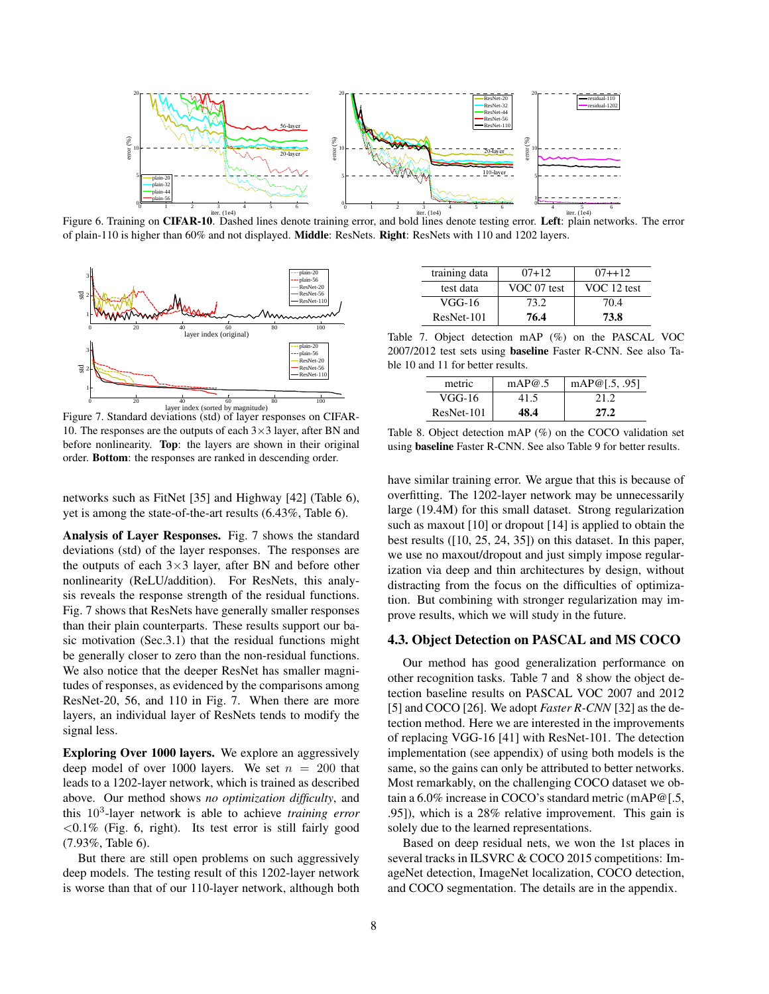

<span id="page-7-1"></span>Figure 6. Training on CIFAR-10. Dashed lines denote training error, and bold lines denote testing error. Left: plain networks. The error of plain-110 is higher than 60% and not displayed. Middle: ResNets. Right: ResNets with 110 and 1202 layers.



<span id="page-7-0"></span>Figure 7. Standard deviations (std) of layer responses on CIFAR-10. The responses are the outputs of each  $3\times3$  layer, after BN and before nonlinearity. Top: the layers are shown in their original order. Bottom: the responses are ranked in descending order.

networks such as FitNet [\[35\]](#page-8-45) and Highway [\[42\]](#page-8-19) (Table [6\)](#page-6-1), yet is among the state-of-the-art results (6.43%, Table [6\)](#page-6-1).

Analysis of Layer Responses. Fig. [7](#page-7-0) shows the standard deviations (std) of the layer responses. The responses are the outputs of each  $3\times3$  layer, after BN and before other nonlinearity (ReLU/addition). For ResNets, this analysis reveals the response strength of the residual functions. Fig. [7](#page-7-0) shows that ResNets have generally smaller responses than their plain counterparts. These results support our basic motivation (Sec[.3.1\)](#page-2-3) that the residual functions might be generally closer to zero than the non-residual functions. We also notice that the deeper ResNet has smaller magnitudes of responses, as evidenced by the comparisons among ResNet-20, 56, and 110 in Fig. [7.](#page-7-0) When there are more layers, an individual layer of ResNets tends to modify the signal less.

Exploring Over 1000 layers. We explore an aggressively deep model of over 1000 layers. We set  $n = 200$  that leads to a 1202-layer network, which is trained as described above. Our method shows *no optimization difficulty*, and this 10<sup>3</sup> -layer network is able to achieve *training error*  $< 0.1\%$  (Fig. [6,](#page-7-1) right). Its test error is still fairly good (7.93%, Table [6\)](#page-6-1).

But there are still open problems on such aggressively deep models. The testing result of this 1202-layer network is worse than that of our 110-layer network, although both

| training data | $07 + 12$   | $07 + 12$   |
|---------------|-------------|-------------|
| test data     | VOC 07 test | VOC 12 test |
| VGG-16        | 73.2        | 70.4        |
| ResNet-101    | 76.4        | 73.8        |

<span id="page-7-2"></span>Table 7. Object detection mAP (%) on the PASCAL VOC 2007/2012 test sets using baseline Faster R-CNN. See also Table [10](#page-10-0) and [11](#page-10-1) for better results.

| metric     | mAP@.5 | mAP@[.5, .95] |
|------------|--------|---------------|
| VGG-16     | 41.5   | 212           |
| ResNet-101 | 48.4   | 27.2          |

<span id="page-7-3"></span>Table 8. Object detection mAP (%) on the COCO validation set using baseline Faster R-CNN. See also Table [9](#page-10-2) for better results.

have similar training error. We argue that this is because of overfitting. The 1202-layer network may be unnecessarily large (19.4M) for this small dataset. Strong regularization such as maxout [\[10\]](#page-8-43) or dropout [\[14\]](#page-8-42) is applied to obtain the best results ([\[10,](#page-8-43) [25,](#page-8-44) [24,](#page-8-33) [35\]](#page-8-45)) on this dataset. In this paper, we use no maxout/dropout and just simply impose regularization via deep and thin architectures by design, without distracting from the focus on the difficulties of optimization. But combining with stronger regularization may improve results, which we will study in the future.

### 4.3. Object Detection on PASCAL and MS COCO

Our method has good generalization performance on other recognition tasks. Table [7](#page-7-2) and [8](#page-7-3) show the object detection baseline results on PASCAL VOC 2007 and 2012 [\[5\]](#page-8-46) and COCO [\[26\]](#page-8-47). We adopt *Faster R-CNN* [\[32\]](#page-8-12) as the detection method. Here we are interested in the improvements of replacing VGG-16 [\[41\]](#page-8-0) with ResNet-101. The detection implementation (see appendix) of using both models is the same, so the gains can only be attributed to better networks. Most remarkably, on the challenging COCO dataset we obtain a 6.0% increase in COCO's standard metric (mAP@[.5, .95]), which is a 28% relative improvement. This gain is solely due to the learned representations.

Based on deep residual nets, we won the 1st places in several tracks in ILSVRC & COCO 2015 competitions: ImageNet detection, ImageNet localization, COCO detection, and COCO segmentation. The details are in the appendix.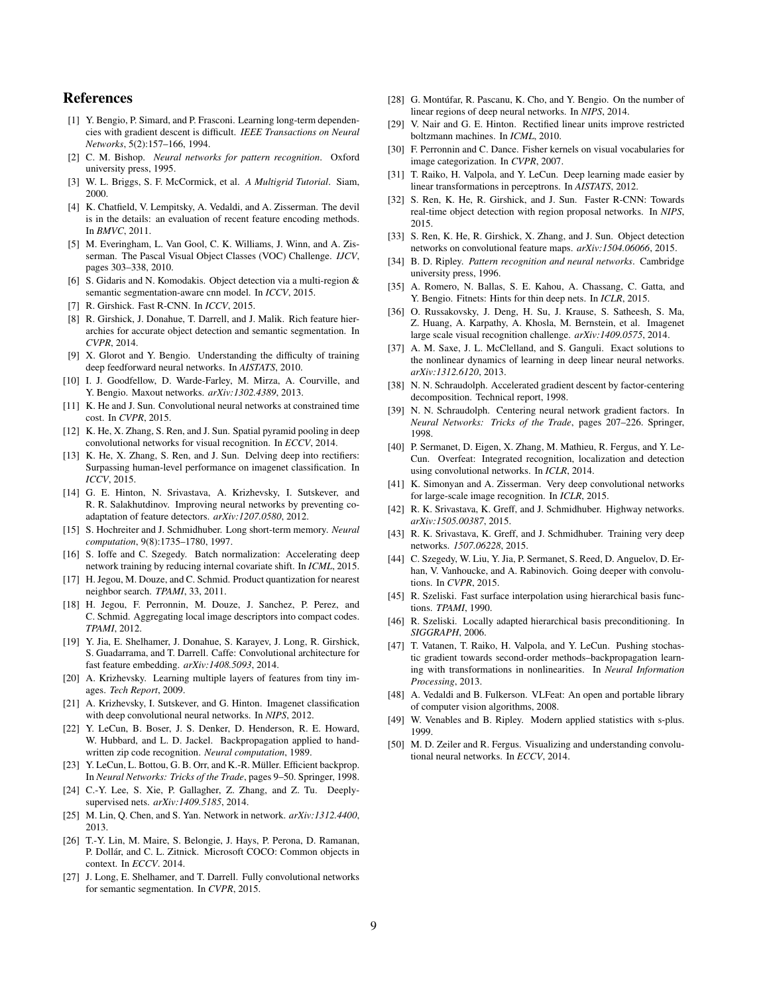## References

- <span id="page-8-14"></span>[1] Y. Bengio, P. Simard, and P. Frasconi. Learning long-term dependencies with gradient descent is difficult. *IEEE Transactions on Neural Networks*, 5(2):157–166, 1994.
- <span id="page-8-20"></span>[2] C. M. Bishop. *Neural networks for pattern recognition*. Oxford university press, 1995.
- <span id="page-8-30"></span>[3] W. L. Briggs, S. F. McCormick, et al. *A Multigrid Tutorial*. Siam, 2000.
- <span id="page-8-27"></span>[4] K. Chatfield, V. Lempitsky, A. Vedaldi, and A. Zisserman. The devil is in the details: an evaluation of recent feature encoding methods. In *BMVC*, 2011.
- <span id="page-8-46"></span>[5] M. Everingham, L. Van Gool, C. K. Williams, J. Winn, and A. Zisserman. The Pascal Visual Object Classes (VOC) Challenge. *IJCV*, pages 303–338, 2010.
- <span id="page-8-49"></span>[6] S. Gidaris and N. Komodakis. Object detection via a multi-region & semantic segmentation-aware cnn model. In *ICCV*, 2015.
- <span id="page-8-11"></span>[7] R. Girshick. Fast R-CNN. In *ICCV*, 2015.
- <span id="page-8-9"></span>[8] R. Girshick, J. Donahue, T. Darrell, and J. Malik. Rich feature hierarchies for accurate object detection and semantic segmentation. In *CVPR*, 2014.
- <span id="page-8-15"></span>[9] X. Glorot and Y. Bengio. Understanding the difficulty of training deep feedforward neural networks. In *AISTATS*, 2010.
- <span id="page-8-43"></span>[10] I. J. Goodfellow, D. Warde-Farley, M. Mirza, A. Courville, and Y. Bengio. Maxout networks. *arXiv:1302.4389*, 2013.
- <span id="page-8-18"></span>[11] K. He and J. Sun. Convolutional neural networks at constrained time cost. In *CVPR*, 2015.
- <span id="page-8-10"></span>[12] K. He, X. Zhang, S. Ren, and J. Sun. Spatial pyramid pooling in deep convolutional networks for visual recognition. In *ECCV*, 2014.
- <span id="page-8-6"></span>[13] K. He, X. Zhang, S. Ren, and J. Sun. Delving deep into rectifiers: Surpassing human-level performance on imagenet classification. In *ICCV*, 2015.
- <span id="page-8-42"></span>[14] G. E. Hinton, N. Srivastava, A. Krizhevsky, I. Sutskever, and R. R. Salakhutdinov. Improving neural networks by preventing coadaptation of feature detectors. *arXiv:1207.0580*, 2012.
- <span id="page-8-39"></span>[15] S. Hochreiter and J. Schmidhuber. Long short-term memory. *Neural computation*, 9(8):1735–1780, 1997.
- <span id="page-8-7"></span>[16] S. Ioffe and C. Szegedy. Batch normalization: Accelerating deep network training by reducing internal covariate shift. In *ICML*, 2015.
- <span id="page-8-29"></span>[17] H. Jegou, M. Douze, and C. Schmid. Product quantization for nearest neighbor search. *TPAMI*, 33, 2011.
- <span id="page-8-25"></span>[18] H. Jegou, F. Perronnin, M. Douze, J. Sanchez, P. Perez, and C. Schmid. Aggregating local image descriptors into compact codes. *TPAMI*, 2012.
- <span id="page-8-23"></span>[19] Y. Jia, E. Shelhamer, J. Donahue, S. Karayev, J. Long, R. Girshick, S. Guadarrama, and T. Darrell. Caffe: Convolutional architecture for fast feature embedding. *arXiv:1408.5093*, 2014.
- <span id="page-8-24"></span>[20] A. Krizhevsky. Learning multiple layers of features from tiny images. *Tech Report*, 2009.
- <span id="page-8-2"></span>[21] A. Krizhevsky, I. Sutskever, and G. Hinton. Imagenet classification with deep convolutional neural networks. In *NIPS*, 2012.
- <span id="page-8-1"></span>[22] Y. LeCun, B. Boser, J. S. Denker, D. Henderson, R. E. Howard, W. Hubbard, and L. D. Jackel. Backpropagation applied to handwritten zip code recognition. *Neural computation*, 1989.
- <span id="page-8-16"></span>[23] Y. LeCun, L. Bottou, G. B. Orr, and K.-R. Müller. Efficient backprop. In *Neural Networks: Tricks of the Trade*, pages 9–50. Springer, 1998.
- <span id="page-8-33"></span>[24] C.-Y. Lee, S. Xie, P. Gallagher, Z. Zhang, and Z. Tu. Deeplysupervised nets. *arXiv:1409.5185*, 2014.
- <span id="page-8-44"></span>[25] M. Lin, Q. Chen, and S. Yan. Network in network. *arXiv:1312.4400*, 2013.
- <span id="page-8-47"></span>[26] T.-Y. Lin, M. Maire, S. Belongie, J. Hays, P. Perona, D. Ramanan, P. Dollár, and C. L. Zitnick. Microsoft COCO: Common objects in context. In *ECCV*. 2014.
- <span id="page-8-13"></span>[27] J. Long, E. Shelhamer, and T. Darrell. Fully convolutional networks for semantic segmentation. In *CVPR*, 2015.
- <span id="page-8-40"></span>[28] G. Montúfar, R. Pascanu, K. Cho, and Y. Bengio. On the number of linear regions of deep neural networks. In *NIPS*, 2014.
- <span id="page-8-41"></span>[29] V. Nair and G. E. Hinton. Rectified linear units improve restricted boltzmann machines. In *ICML*, 2010.
- <span id="page-8-26"></span>[30] F. Perronnin and C. Dance. Fisher kernels on visual vocabularies for image categorization. In *CVPR*, 2007.
- <span id="page-8-36"></span>[31] T. Raiko, H. Valpola, and Y. LeCun. Deep learning made easier by linear transformations in perceptrons. In *AISTATS*, 2012.
- <span id="page-8-12"></span>[32] S. Ren, K. He, R. Girshick, and J. Sun. Faster R-CNN: Towards real-time object detection with region proposal networks. In *NIPS*, 2015.
- <span id="page-8-48"></span>[33] S. Ren, K. He, R. Girshick, X. Zhang, and J. Sun. Object detection networks on convolutional feature maps. *arXiv:1504.06066*, 2015.
- <span id="page-8-21"></span>[34] B. D. Ripley. *Pattern recognition and neural networks*. Cambridge university press, 1996.
- <span id="page-8-45"></span>[35] A. Romero, N. Ballas, S. E. Kahou, A. Chassang, C. Gatta, and Y. Bengio. Fitnets: Hints for thin deep nets. In *ICLR*, 2015.
- <span id="page-8-8"></span>[36] O. Russakovsky, J. Deng, H. Su, J. Krause, S. Satheesh, S. Ma, Z. Huang, A. Karpathy, A. Khosla, M. Bernstein, et al. Imagenet large scale visual recognition challenge. *arXiv:1409.0575*, 2014.
- <span id="page-8-17"></span>[37] A. M. Saxe, J. L. McClelland, and S. Ganguli. Exact solutions to the nonlinear dynamics of learning in deep linear neural networks. *arXiv:1312.6120*, 2013.
- <span id="page-8-35"></span>[38] N. N. Schraudolph. Accelerated gradient descent by factor-centering decomposition. Technical report, 1998.
- <span id="page-8-34"></span>[39] N. N. Schraudolph. Centering neural network gradient factors. In *Neural Networks: Tricks of the Trade*, pages 207–226. Springer, 1998.
- <span id="page-8-4"></span>[40] P. Sermanet, D. Eigen, X. Zhang, M. Mathieu, R. Fergus, and Y. Le-Cun. Overfeat: Integrated recognition, localization and detection using convolutional networks. In *ICLR*, 2014.
- <span id="page-8-0"></span>[41] K. Simonyan and A. Zisserman. Very deep convolutional networks for large-scale image recognition. In *ICLR*, 2015.
- <span id="page-8-19"></span>[42] R. K. Srivastava, K. Greff, and J. Schmidhuber. Highway networks. *arXiv:1505.00387*, 2015.
- <span id="page-8-38"></span>[43] R. K. Srivastava, K. Greff, and J. Schmidhuber. Training very deep networks. *1507.06228*, 2015.
- <span id="page-8-5"></span>[44] C. Szegedy, W. Liu, Y. Jia, P. Sermanet, S. Reed, D. Anguelov, D. Erhan, V. Vanhoucke, and A. Rabinovich. Going deeper with convolutions. In *CVPR*, 2015.
- <span id="page-8-31"></span>[45] R. Szeliski. Fast surface interpolation using hierarchical basis functions. *TPAMI*, 1990.
- <span id="page-8-32"></span>[46] R. Szeliski. Locally adapted hierarchical basis preconditioning. In *SIGGRAPH*, 2006.
- <span id="page-8-37"></span>[47] T. Vatanen, T. Raiko, H. Valpola, and Y. LeCun. Pushing stochastic gradient towards second-order methods–backpropagation learning with transformations in nonlinearities. In *Neural Information Processing*, 2013.
- <span id="page-8-28"></span>[48] A. Vedaldi and B. Fulkerson. VLFeat: An open and portable library of computer vision algorithms, 2008.
- <span id="page-8-22"></span>[49] W. Venables and B. Ripley. Modern applied statistics with s-plus. 1999.
- <span id="page-8-3"></span>[50] M. D. Zeiler and R. Fergus. Visualizing and understanding convolutional neural networks. In *ECCV*, 2014.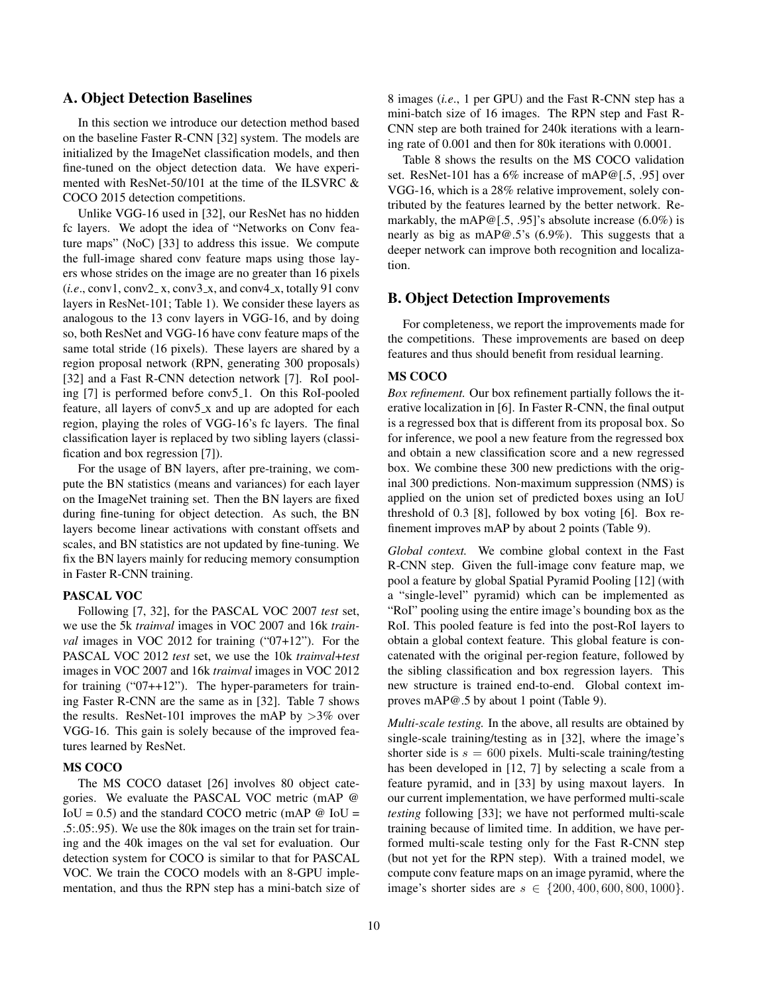## A. Object Detection Baselines

In this section we introduce our detection method based on the baseline Faster R-CNN [\[32\]](#page-8-12) system. The models are initialized by the ImageNet classification models, and then fine-tuned on the object detection data. We have experimented with ResNet-50/101 at the time of the ILSVRC & COCO 2015 detection competitions.

Unlike VGG-16 used in [\[32\]](#page-8-12), our ResNet has no hidden fc layers. We adopt the idea of "Networks on Conv feature maps" (NoC) [\[33\]](#page-8-48) to address this issue. We compute the full-image shared conv feature maps using those layers whose strides on the image are no greater than 16 pixels  $(i.e., conv1, conv2-x, conv3-x, and conv4-x, totally 91 conv$ layers in ResNet-101; Table [1\)](#page-4-1). We consider these layers as analogous to the 13 conv layers in VGG-16, and by doing so, both ResNet and VGG-16 have conv feature maps of the same total stride (16 pixels). These layers are shared by a region proposal network (RPN, generating 300 proposals) [\[32\]](#page-8-12) and a Fast R-CNN detection network [\[7\]](#page-8-11). RoI pooling [\[7\]](#page-8-11) is performed before conv5 1. On this RoI-pooled feature, all layers of conv5 x and up are adopted for each region, playing the roles of VGG-16's fc layers. The final classification layer is replaced by two sibling layers (classification and box regression [\[7\]](#page-8-11)).

For the usage of BN layers, after pre-training, we compute the BN statistics (means and variances) for each layer on the ImageNet training set. Then the BN layers are fixed during fine-tuning for object detection. As such, the BN layers become linear activations with constant offsets and scales, and BN statistics are not updated by fine-tuning. We fix the BN layers mainly for reducing memory consumption in Faster R-CNN training.

#### PASCAL VOC

Following [\[7,](#page-8-11) [32\]](#page-8-12), for the PASCAL VOC 2007 *test* set, we use the 5k *trainval* images in VOC 2007 and 16k *trainval* images in VOC 2012 for training ("07+12"). For the PASCAL VOC 2012 *test* set, we use the 10k *trainval*+*test* images in VOC 2007 and 16k *trainval* images in VOC 2012 for training ("07++12"). The hyper-parameters for training Faster R-CNN are the same as in [\[32\]](#page-8-12). Table [7](#page-7-2) shows the results. ResNet-101 improves the mAP by  $>3\%$  over VGG-16. This gain is solely because of the improved features learned by ResNet.

#### MS COCO

The MS COCO dataset [\[26\]](#page-8-47) involves 80 object categories. We evaluate the PASCAL VOC metric (mAP @ IoU = 0.5) and the standard COCO metric (mAP  $\omega$  IoU = .5:.05:.95). We use the 80k images on the train set for training and the 40k images on the val set for evaluation. Our detection system for COCO is similar to that for PASCAL VOC. We train the COCO models with an 8-GPU implementation, and thus the RPN step has a mini-batch size of 8 images (*i.e*., 1 per GPU) and the Fast R-CNN step has a mini-batch size of 16 images. The RPN step and Fast R-CNN step are both trained for 240k iterations with a learning rate of 0.001 and then for 80k iterations with 0.0001.

Table [8](#page-7-3) shows the results on the MS COCO validation set. ResNet-101 has a 6% increase of mAP@[.5, .95] over VGG-16, which is a 28% relative improvement, solely contributed by the features learned by the better network. Remarkably, the mAP@[.5, .95]'s absolute increase (6.0%) is nearly as big as mAP@.5's (6.9%). This suggests that a deeper network can improve both recognition and localization.

## B. Object Detection Improvements

For completeness, we report the improvements made for the competitions. These improvements are based on deep features and thus should benefit from residual learning.

#### MS COCO

*Box refinement.* Our box refinement partially follows the iterative localization in [\[6\]](#page-8-49). In Faster R-CNN, the final output is a regressed box that is different from its proposal box. So for inference, we pool a new feature from the regressed box and obtain a new classification score and a new regressed box. We combine these 300 new predictions with the original 300 predictions. Non-maximum suppression (NMS) is applied on the union set of predicted boxes using an IoU threshold of 0.3 [\[8\]](#page-8-9), followed by box voting [\[6\]](#page-8-49). Box refinement improves mAP by about 2 points (Table [9\)](#page-10-2).

*Global context.* We combine global context in the Fast R-CNN step. Given the full-image conv feature map, we pool a feature by global Spatial Pyramid Pooling [\[12\]](#page-8-10) (with a "single-level" pyramid) which can be implemented as "RoI" pooling using the entire image's bounding box as the RoI. This pooled feature is fed into the post-RoI layers to obtain a global context feature. This global feature is concatenated with the original per-region feature, followed by the sibling classification and box regression layers. This new structure is trained end-to-end. Global context improves mAP@.5 by about 1 point (Table [9\)](#page-10-2).

*Multi-scale testing.* In the above, all results are obtained by single-scale training/testing as in [\[32\]](#page-8-12), where the image's shorter side is  $s = 600$  pixels. Multi-scale training/testing has been developed in [\[12,](#page-8-10) [7\]](#page-8-11) by selecting a scale from a feature pyramid, and in [\[33\]](#page-8-48) by using maxout layers. In our current implementation, we have performed multi-scale *testing* following [\[33\]](#page-8-48); we have not performed multi-scale training because of limited time. In addition, we have performed multi-scale testing only for the Fast R-CNN step (but not yet for the RPN step). With a trained model, we compute conv feature maps on an image pyramid, where the image's shorter sides are  $s \in \{200, 400, 600, 800, 1000\}.$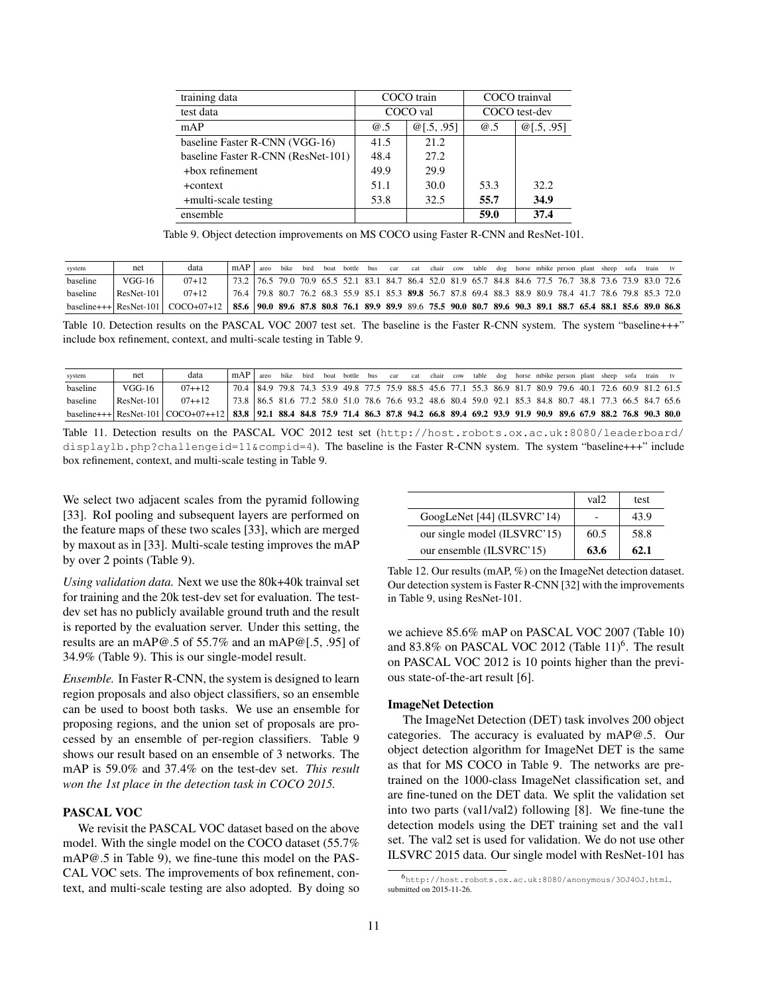| training data                      |      | COCO train         | COCO trainval |            |  |  |  |  |
|------------------------------------|------|--------------------|---------------|------------|--|--|--|--|
| test data                          |      | COCO val           | COCO test-dev |            |  |  |  |  |
| mAP                                | @.5  | $\omega$ [.5, .95] | @.5           | @[.5, .95] |  |  |  |  |
| baseline Faster R-CNN (VGG-16)     | 41.5 | 21.2               |               |            |  |  |  |  |
| baseline Faster R-CNN (ResNet-101) | 48.4 | 27.2               |               |            |  |  |  |  |
| +box refinement                    | 49.9 | 29.9               |               |            |  |  |  |  |
| +context                           | 51.1 | 30.0               | 53.3          | 32.2       |  |  |  |  |
| +multi-scale testing               | 53.8 | 32.5               | 55.7          | 34.9       |  |  |  |  |
| ensemble                           |      |                    | 59.0          | 37.4       |  |  |  |  |

<span id="page-10-2"></span>Table 9. Object detection improvements on MS COCO using Faster R-CNN and ResNet-101.

| system   | net          | data                                                                                                                                             | mAP                                                                                                      | areo | bike | bird | boat bottle bus | $\Box$ car | cat |  |  |  | chair cow table dog horse mbike person plant sheep sofa train tv |  |  |  |
|----------|--------------|--------------------------------------------------------------------------------------------------------------------------------------------------|----------------------------------------------------------------------------------------------------------|------|------|------|-----------------|------------|-----|--|--|--|------------------------------------------------------------------|--|--|--|
| baseline | VGG-16       | $07 + 12$                                                                                                                                        | 73.2 76.5 79.0 70.9 65.5 52.1 83.1 84.7 86.4 52.0 81.9 65.7 84.8 84.6 77.5 76.7 38.8 73.6 73.9 83.0 72.6 |      |      |      |                 |            |     |  |  |  |                                                                  |  |  |  |
| baseline | $ResNet-101$ | $07+12$                                                                                                                                          | 76.4 79.8 80.7 76.2 68.3 55.9 85.1 85.3 89.8 56.7 87.8 69.4 88.3 88.9 80.9 78.4 41.7 78.6 79.8 85.3 72.0 |      |      |      |                 |            |     |  |  |  |                                                                  |  |  |  |
|          |              | baseline+++ ResNet-101   COCO+07+12   85.6   90.0 89.6 87.8 80.8 76.1 89.9 89.9 89.6 75.5 90.0 80.7 89.6 90.3 89.1 88.7 65.4 88.1 85.6 89.0 86.8 |                                                                                                          |      |      |      |                 |            |     |  |  |  |                                                                  |  |  |  |

<span id="page-10-0"></span>Table 10. Detection results on the PASCAL VOC 2007 test set. The baseline is the Faster R-CNN system. The system "baseline+++" include box refinement, context, and multi-scale testing in Table [9.](#page-10-2)

| system   | net        | data                                                                                                                                        | mAP                                                                                                      | areo | bike | bird | boat | bottle bus | car |  |  |  | cat chair cow table dog horse mbike person plant sheep sofa train tv |  |  |  |
|----------|------------|---------------------------------------------------------------------------------------------------------------------------------------------|----------------------------------------------------------------------------------------------------------|------|------|------|------|------------|-----|--|--|--|----------------------------------------------------------------------|--|--|--|
| baseline | VGG-16     | $07 + 12$                                                                                                                                   | 70.4 84.9 79.8 74.3 53.9 49.8 77.5 75.9 88.5 45.6 77.1 55.3 86.9 81.7 80.9 79.6 40.1 72.6 60.9 81.2 61.5 |      |      |      |      |            |     |  |  |  |                                                                      |  |  |  |
| baseline | ResNet-101 | $07 + 12$                                                                                                                                   | 73.8 86.5 81.6 77.2 58.0 51.0 78.6 76.6 93.2 48.6 80.4 59.0 92.1 85.3 84.8 80.7 48.1 77.3 66.5 84.7 65.6 |      |      |      |      |            |     |  |  |  |                                                                      |  |  |  |
|          |            | baseline+++ ResNet-101 COCO+07++12 33.8 92.1 88.4 84.8 75.9 71.4 86.3 87.8 94.2 66.8 89.4 69.2 93.9 91.9 90.9 89.6 67.9 88.2 76.8 90.3 80.0 |                                                                                                          |      |      |      |      |            |     |  |  |  |                                                                      |  |  |  |

<span id="page-10-1"></span>Table 11. Detection results on the PASCAL VOC 2012 test set ([http://host.robots.ox.ac.uk:8080/leaderboard/](http://host.robots.ox.ac.uk:8080/leaderboard/displaylb.php?challengeid=11&compid=4) [displaylb.php?challengeid=11&compid=4](http://host.robots.ox.ac.uk:8080/leaderboard/displaylb.php?challengeid=11&compid=4)). The baseline is the Faster R-CNN system. The system "baseline+++" include box refinement, context, and multi-scale testing in Table [9.](#page-10-2)

We select two adjacent scales from the pyramid following [\[33\]](#page-8-48). RoI pooling and subsequent layers are performed on the feature maps of these two scales [\[33\]](#page-8-48), which are merged by maxout as in [\[33\]](#page-8-48). Multi-scale testing improves the mAP by over 2 points (Table [9\)](#page-10-2).

*Using validation data.* Next we use the 80k+40k trainval set for training and the 20k test-dev set for evaluation. The testdev set has no publicly available ground truth and the result is reported by the evaluation server. Under this setting, the results are an mAP@.5 of 55.7% and an mAP@[.5, .95] of 34.9% (Table [9\)](#page-10-2). This is our single-model result.

*Ensemble.* In Faster R-CNN, the system is designed to learn region proposals and also object classifiers, so an ensemble can be used to boost both tasks. We use an ensemble for proposing regions, and the union set of proposals are processed by an ensemble of per-region classifiers. Table [9](#page-10-2) shows our result based on an ensemble of 3 networks. The mAP is 59.0% and 37.4% on the test-dev set. *This result won the 1st place in the detection task in COCO 2015.*

#### PASCAL VOC

We revisit the PASCAL VOC dataset based on the above model. With the single model on the COCO dataset (55.7% mAP@.5 in Table [9\)](#page-10-2), we fine-tune this model on the PAS-CAL VOC sets. The improvements of box refinement, context, and multi-scale testing are also adopted. By doing so

|                              | val <sub>2</sub> | test |
|------------------------------|------------------|------|
| GoogLeNet [44] (ILSVRC'14)   |                  | 43.9 |
| our single model (ILSVRC'15) | 60.5             | 58.8 |
| our ensemble (ILSVRC'15)     | 63.6             | 62.1 |

<span id="page-10-4"></span>Table 12. Our results (mAP, %) on the ImageNet detection dataset. Our detection system is Faster R-CNN [\[32\]](#page-8-12) with the improvements in Table [9,](#page-10-2) using ResNet-101.

we achieve 85.6% mAP on PASCAL VOC 2007 (Table [10\)](#page-10-0) and 83.8% on PASCAL VOC 2012 (Table [11\)](#page-10-1)<sup>[6](#page-10-3)</sup>. The result on PASCAL VOC 2012 is 10 points higher than the previous state-of-the-art result [\[6\]](#page-8-49).

#### ImageNet Detection

The ImageNet Detection (DET) task involves 200 object categories. The accuracy is evaluated by mAP@.5. Our object detection algorithm for ImageNet DET is the same as that for MS COCO in Table [9.](#page-10-2) The networks are pretrained on the 1000-class ImageNet classification set, and are fine-tuned on the DET data. We split the validation set into two parts (val1/val2) following [\[8\]](#page-8-9). We fine-tune the detection models using the DET training set and the val1 set. The val2 set is used for validation. We do not use other ILSVRC 2015 data. Our single model with ResNet-101 has

<span id="page-10-3"></span><sup>6</sup><http://host.robots.ox.ac.uk:8080/anonymous/3OJ4OJ.html>, submitted on 2015-11-26.